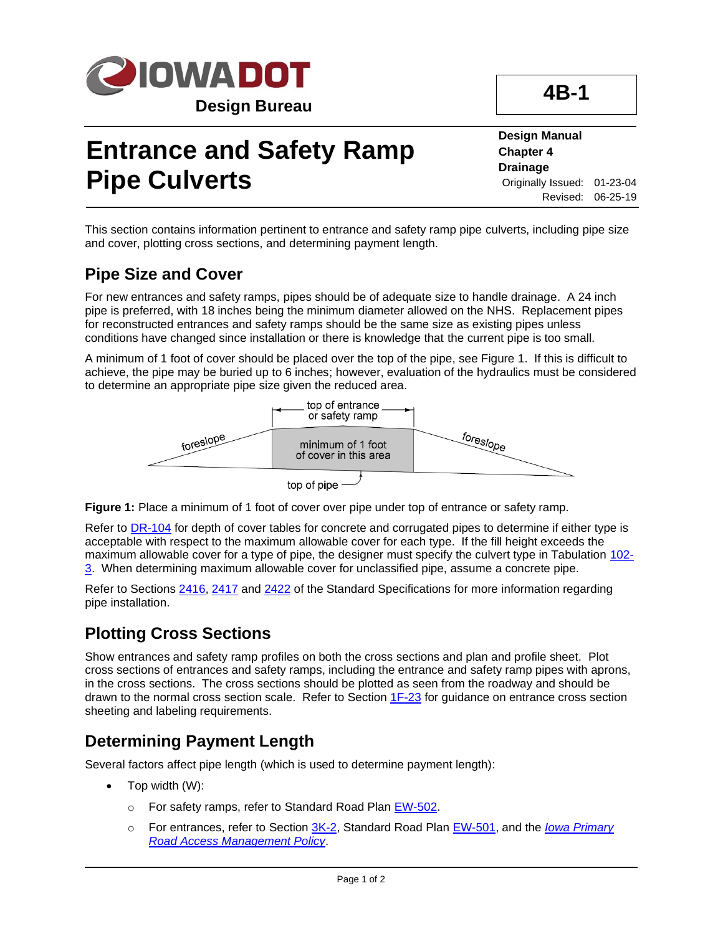

# **Entrance and Safety Ramp Pipe Culverts**

**Design Manual Chapter 4 Drainage** Originally Issued: 01-23-04 Revised: 06-25-19

**4B-1**

This section contains information pertinent to entrance and safety ramp pipe culverts, including pipe size and cover, plotting cross sections, and determining payment length.

## **Pipe Size and Cover**

For new entrances and safety ramps, pipes should be of adequate size to handle drainage. A 24 inch pipe is preferred, with 18 inches being the minimum diameter allowed on the NHS. Replacement pipes for reconstructed entrances and safety ramps should be the same size as existing pipes unless conditions have changed since installation or there is knowledge that the current pipe is too small.

A minimum of 1 foot of cover should be placed over the top of the pipe, see Figure 1. If this is difficult to achieve, the pipe may be buried up to 6 inches; however, evaluation of the hydraulics must be considered to determine an appropriate pipe size given the reduced area.



**Figure 1:** Place a minimum of 1 foot of cover over pipe under top of entrance or safety ramp.

Refer to [DR-104](../SRP/IndividualStandards/dr104.pdf) for depth of cover tables for concrete and corrugated pipes to determine if either type is acceptable with respect to the maximum allowable cover for each type. If the fill height exceeds the maximum allowable cover for a type of pipe, the designer must specify the culvert type in Tabulation [102-](../tnt/PDFsandWebFiles/IndividualPDFs/0102-03.PDF) [3.](../tnt/PDFsandWebFiles/IndividualPDFs/0102-03.PDF) When determining maximum allowable cover for unclassified pipe, assume a concrete pipe.

Refer to Sections [2416,](../../erl/current/GS/content/2416.htm) [2417](../../erl/current/GS/content/2417.htm) and [2422](../../erl/current/GS/content/2422.htm) of the Standard Specifications for more information regarding pipe installation.

## **Plotting Cross Sections**

Show entrances and safety ramp profiles on both the cross sections and plan and profile sheet. Plot cross sections of entrances and safety ramps, including the entrance and safety ramp pipes with aprons, in the cross sections. The cross sections should be plotted as seen from the roadway and should be drawn to the normal cross section scale. Refer to Section [1F-23](01f-23.pdf) for guidance on entrance cross section sheeting and labeling requirements.

## **Determining Payment Length**

Several factors affect pipe length (which is used to determine payment length):

- Top width (W):
	- o For safety ramps, refer to Standard Road Plan [EW-502.](../SRP/IndividualStandards/ew502.pdf)
	- o For entrances, refer to Section [3K-2,](03k-02.pdf) Standard Road Plan [EW-501,](../SRP/IndividualStandards/ew501.pdf) and the *[Iowa Primary](https://iowadot.gov/traffic/pdfs/AccessPolicy.pdf)  [Road Access Management Policy](https://iowadot.gov/traffic/pdfs/AccessPolicy.pdf)*.

Page 1 of 2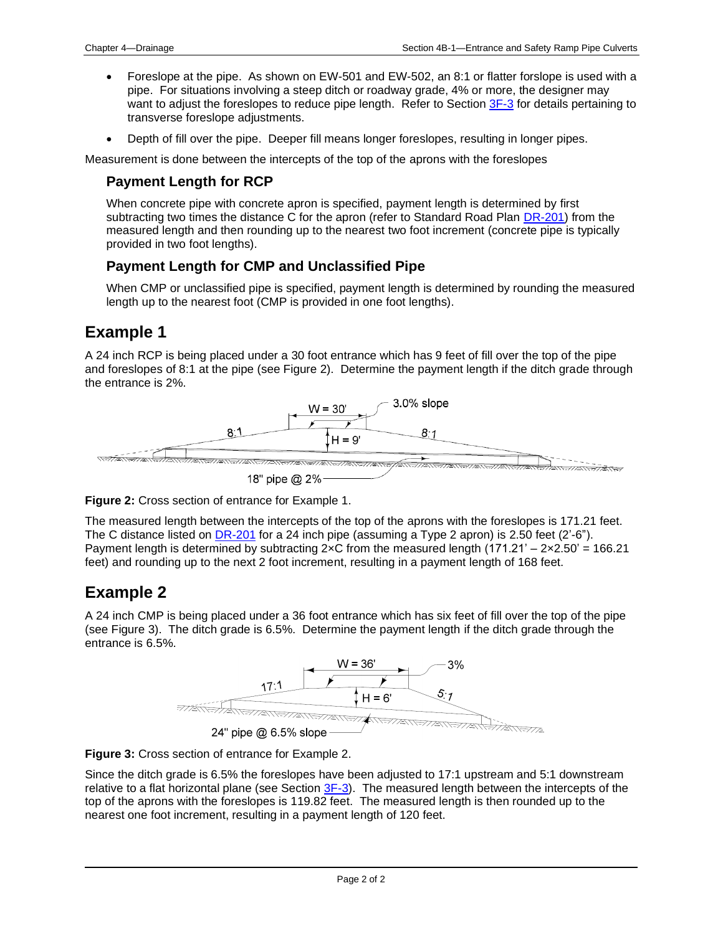- Foreslope at the pipe. As shown on EW-501 and EW-502, an 8:1 or flatter forslope is used with a pipe. For situations involving a steep ditch or roadway grade, 4% or more, the designer may want to adjust the foreslopes to reduce pipe length. Refer to Section [3F-3](03f-03.pdf) for details pertaining to transverse foreslope adjustments.
- Depth of fill over the pipe. Deeper fill means longer foreslopes, resulting in longer pipes.

Measurement is done between the intercepts of the top of the aprons with the foreslopes

#### **Payment Length for RCP**

When concrete pipe with concrete apron is specified, payment length is determined by first subtracting two times the distance C for the apron (refer to Standard Road Plan [DR-201\)](../SRP/IndividualStandards/dr201.pdf) from the measured length and then rounding up to the nearest two foot increment (concrete pipe is typically provided in two foot lengths).

#### **Payment Length for CMP and Unclassified Pipe**

When CMP or unclassified pipe is specified, payment length is determined by rounding the measured length up to the nearest foot (CMP is provided in one foot lengths).

## **Example 1**

A 24 inch RCP is being placed under a 30 foot entrance which has 9 feet of fill over the top of the pipe and foreslopes of 8:1 at the pipe (see Figure 2). Determine the payment length if the ditch grade through the entrance is 2%.



**Figure 2:** Cross section of entrance for Example 1.

The measured length between the intercepts of the top of the aprons with the foreslopes is 171.21 feet. The C distance listed on [DR-201](../SRP/IndividualStandards/dr201.pdf) for a 24 inch pipe (assuming a Type 2 apron) is 2.50 feet (2'-6"). Payment length is determined by subtracting  $2 \times C$  from the measured length (171.21' –  $2 \times 2.50' = 166.21$ ) feet) and rounding up to the next 2 foot increment, resulting in a payment length of 168 feet.

## **Example 2**

A 24 inch CMP is being placed under a 36 foot entrance which has six feet of fill over the top of the pipe (see Figure 3). The ditch grade is 6.5%. Determine the payment length if the ditch grade through the entrance is 6.5%.



**Figure 3:** Cross section of entrance for Example 2.

Since the ditch grade is 6.5% the foreslopes have been adjusted to 17:1 upstream and 5:1 downstream relative to a flat horizontal plane (see Section [3F-3\)](03f-03.pdf). The measured length between the intercepts of the top of the aprons with the foreslopes is 119.82 feet. The measured length is then rounded up to the nearest one foot increment, resulting in a payment length of 120 feet.